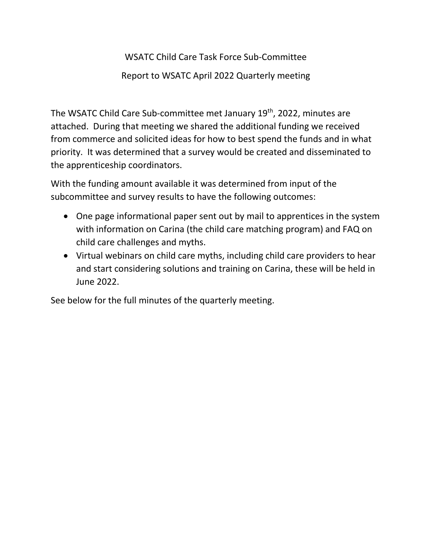# WSATC Child Care Task Force Sub-Committee

## Report to WSATC April 2022 Quarterly meeting

The WSATC Child Care Sub-committee met January 19<sup>th</sup>, 2022, minutes are attached. During that meeting we shared the additional funding we received from commerce and solicited ideas for how to best spend the funds and in what priority. It was determined that a survey would be created and disseminated to the apprenticeship coordinators.

With the funding amount available it was determined from input of the subcommittee and survey results to have the following outcomes:

- One page informational paper sent out by mail to apprentices in the system with information on Carina (the child care matching program) and FAQ on child care challenges and myths.
- Virtual webinars on child care myths, including child care providers to hear and start considering solutions and training on Carina, these will be held in June 2022.

See below for the full minutes of the quarterly meeting.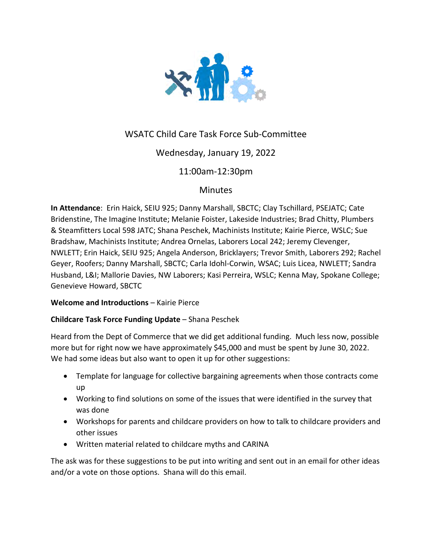

# WSATC Child Care Task Force Sub-Committee

## Wednesday, January 19, 2022

## 11:00am-12:30pm

## **Minutes**

**In Attendance**: Erin Haick, SEIU 925; Danny Marshall, SBCTC; Clay Tschillard, PSEJATC; Cate Bridenstine, The Imagine Institute; Melanie Foister, Lakeside Industries; Brad Chitty, Plumbers & Steamfitters Local 598 JATC; Shana Peschek, Machinists Institute; Kairie Pierce, WSLC; Sue Bradshaw, Machinists Institute; Andrea Ornelas, Laborers Local 242; Jeremy Clevenger, NWLETT; Erin Haick, SEIU 925; Angela Anderson, Bricklayers; Trevor Smith, Laborers 292; Rachel Geyer, Roofers; Danny Marshall, SBCTC; Carla Idohl-Corwin, WSAC; Luis Licea, NWLETT; Sandra Husband, L&I; Mallorie Davies, NW Laborers; Kasi Perreira, WSLC; Kenna May, Spokane College; Genevieve Howard, SBCTC

### **Welcome and Introductions** – Kairie Pierce

### **Childcare Task Force Funding Update** – Shana Peschek

Heard from the Dept of Commerce that we did get additional funding. Much less now, possible more but for right now we have approximately \$45,000 and must be spent by June 30, 2022. We had some ideas but also want to open it up for other suggestions:

- Template for language for collective bargaining agreements when those contracts come up
- Working to find solutions on some of the issues that were identified in the survey that was done
- Workshops for parents and childcare providers on how to talk to childcare providers and other issues
- Written material related to childcare myths and CARINA

The ask was for these suggestions to be put into writing and sent out in an email for other ideas and/or a vote on those options. Shana will do this email.